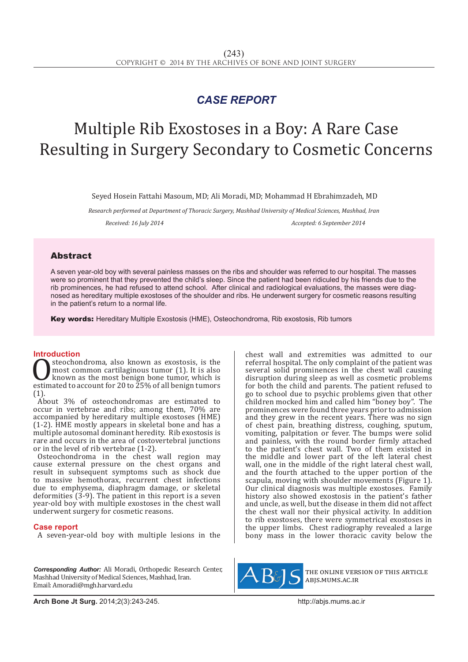## *CASE REPORT*

# Multiple Rib Exostoses in a Boy: A Rare Case Resulting in Surgery Secondary to Cosmetic Concerns

Seyed Hosein Fattahi Masoum, MD; Ali Moradi, MD; Mohammad H Ebrahimzadeh, MD

*Research performed at Department of Thoracic Surgery, Mashhad University of Medical Sciences, Mashhad, Iran Received: 16 July 2014 Accepted: 6 September 2014*

### Abstract

A seven year-old boy with several painless masses on the ribs and shoulder was referred to our hospital. The masses were so prominent that they prevented the child's sleep. Since the patient had been ridiculed by his friends due to the rib prominences, he had refused to attend school. After clinical and radiological evaluations, the masses were diagnosed as hereditary multiple exostoses of the shoulder and ribs. He underwent surgery for cosmetic reasons resulting in the patient's return to a normal life.

Key words: Hereditary Multiple Exostosis (HME), Osteochondroma, Rib exostosis, Rib tumors

**Introduction**<br>steochondroma, also known as exostosis, is the **C** steochondroma, also known as exostosis, is the most common cartilaginous tumor (1). It is also known as the most benign bone tumor, which is estimated to account for 20 to 25% of all benign tumors (1) most common cartilaginous tumor (1). It is also known as the most benign bone tumor, which is (1).

About 3% of osteochondromas are estimated to occur in vertebrae and ribs; among them, 70% are accompanied by hereditary multiple exostoses (HME) (1-2). HME mostly appears in skeletal bone and has a multiple autosomal dominant heredity. Rib exostosis is rare and occurs in the area of costovertebral junctions or in the level of rib vertebrae (1-2).

Osteochondroma in the chest wall region may cause external pressure on the chest organs and result in subsequent symptoms such as shock due to massive hemothorax, recurrent chest infections due to emphysema, diaphragm damage, or skeletal deformities (3-9). The patient in this report is a seven year-old boy with multiple exostoses in the chest wall underwent surgery for cosmetic reasons.

#### **Case report**

A seven-year-old boy with multiple lesions in the

*Corresponding Author:* Ali Moradi, Orthopedic Research Center, Mashhad University of Medical Sciences, Mashhad, Iran. Email: Amoradi@mgh.harvard.edu

chest wall and extremities was admitted to our referral hospital. The only complaint of the patient was several solid prominences in the chest wall causing disruption during sleep as well as cosmetic problems for both the child and parents. The patient refused to go to school due to psychic problems given that other children mocked him and called him "boney boy". The prominences were found three years prior to admission and they grew in the recent years. There was no sign of chest pain, breathing distress, coughing, sputum, vomiting, palpitation or fever. The bumps were solid and painless, with the round border firmly attached to the patient's chest wall. Two of them existed in the middle and lower part of the left lateral chest wall, one in the middle of the right lateral chest wall, and the fourth attached to the upper portion of the scapula, moving with shoulder movements (Figure 1). Our clinical diagnosis was multiple exostoses. Family history also showed exostosis in the patient's father and uncle, as well, but the disease in them did not affect the chest wall nor their physical activity. In addition to rib exostoses, there were symmetrical exostoses in the upper limbs. Chest radiography revealed a large bony mass in the lower thoracic cavity below the



the online version of this article abjs.mums.ac.ir

**Arch Bone Jt Surg.** 2014;2(3):243-245.http://abjs.mums.ac.ir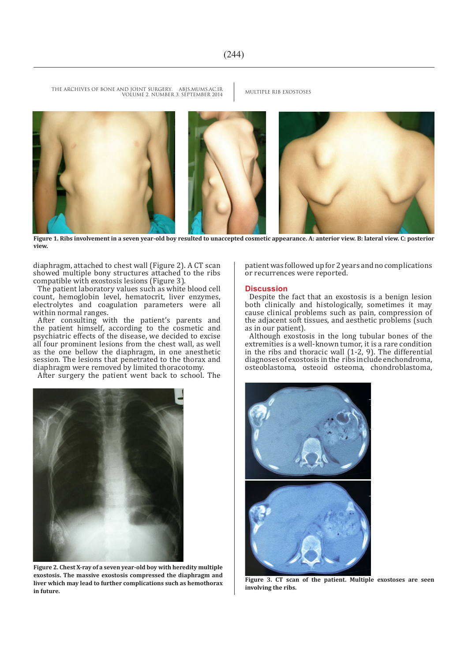THE ARCHIVES OF BONE AND JOINT SURGERY. ABJS.MUMS.AC.IR MULTIPLE RIB EXOSTOSES VOLUME 2. NUMBER 3. SEPTEMBER 2014



**Figure 1. Ribs involvement in a seven year-old boy resulted to unaccepted cosmetic appearance. A: anterior view. B: lateral view. C: posterior view.**

diaphragm, attached to chest wall (Figure 2). A CT scan showed multiple bony structures attached to the ribs compatible with exostosis lesions (Figure 3).

The patient laboratory values such as white blood cell count, hemoglobin level, hematocrit, liver enzymes, electrolytes and coagulation parameters were all within normal ranges.

After consulting with the patient's parents and the patient himself, according to the cosmetic and psychiatric effects of the disease, we decided to excise all four prominent lesions from the chest wall, as well as the one bellow the diaphragm, in one anesthetic session. The lesions that penetrated to the thorax and diaphragm were removed by limited thoracotomy.

After surgery the patient went back to school. The



**Figure 2. Chest X-ray of a seven year-old boy with heredity multiple exostosis. The massive exostosis compressed the diaphragm and liver which may lead to further complications such as hemothorax in future.**

patient was followed up for 2 years and no complications or recurrences were reported.

#### **Discussion**

Despite the fact that an exostosis is a benign lesion both clinically and histologically, sometimes it may cause clinical problems such as pain, compression of the adjacent soft tissues, and aesthetic problems (such as in our patient).

Although exostosis in the long tubular bones of the extremities is a well-known tumor, it is a rare condition in the ribs and thoracic wall  $(1-2, 9)$ . The differential diagnoses of exostosis in the ribs include enchondroma, osteoblastoma, osteoid osteoma, chondroblastoma,



**Figure 3. CT scan of the patient. Multiple exostoses are seen involving the ribs.**